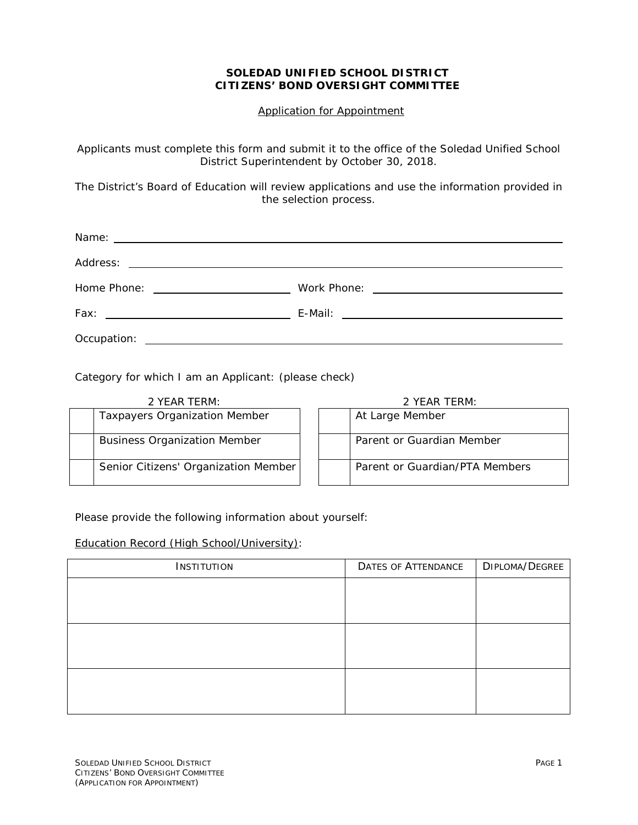## **SOLEDAD UNIFIED SCHOOL DISTRICT CITIZENS' BOND OVERSIGHT COMMITTEE**

Application for Appointment

Applicants must complete this form and submit it to the office of the Soledad Unified School District Superintendent by October 30, 2018.

The District's Board of Education will review applications and use the information provided in the selection process.

| Home Phone: <u>_________________________________</u> |  |
|------------------------------------------------------|--|
|                                                      |  |
|                                                      |  |
|                                                      |  |

Category for which I am an Applicant: (please check)

| 2 YEAR TERM:                         |  | 2 YEAR TERM: |                                |  |
|--------------------------------------|--|--------------|--------------------------------|--|
| <b>Taxpayers Organization Member</b> |  |              | At Large Member                |  |
| <b>Business Organization Member</b>  |  |              | Parent or Guardian Member      |  |
| Senior Citizens' Organization Member |  |              | Parent or Guardian/PTA Members |  |

Please provide the following information about yourself:

## Education Record (High School/University):

| INSTITUTION | <b>DATES OF ATTENDANCE</b> | DIPLOMA/DEGREE |  |
|-------------|----------------------------|----------------|--|
|             |                            |                |  |
|             |                            |                |  |
|             |                            |                |  |
|             |                            |                |  |
|             |                            |                |  |
|             |                            |                |  |
|             |                            |                |  |
|             |                            |                |  |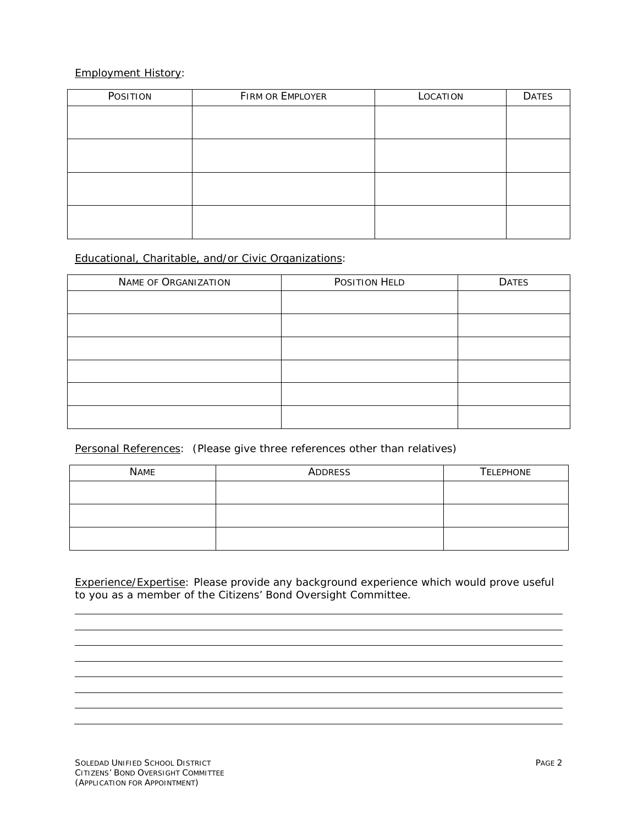## Employment History:

| POSITION | FIRM OR EMPLOYER | LOCATION | <b>DATES</b> |
|----------|------------------|----------|--------------|
|          |                  |          |              |
|          |                  |          |              |
|          |                  |          |              |
|          |                  |          |              |
|          |                  |          |              |
|          |                  |          |              |
|          |                  |          |              |
|          |                  |          |              |

## Educational, Charitable, and/or Civic Organizations:

| NAME OF ORGANIZATION | POSITION HELD | <b>DATES</b> |
|----------------------|---------------|--------------|
|                      |               |              |
|                      |               |              |
|                      |               |              |
|                      |               |              |
|                      |               |              |
|                      |               |              |

Personal References: (Please give three references other than relatives)

| <b>NAME</b> | ADDRESS | <b>TELEPHONE</b> |  |  |
|-------------|---------|------------------|--|--|
|             |         |                  |  |  |
|             |         |                  |  |  |
|             |         |                  |  |  |

Experience/Expertise: Please provide any background experience which would prove useful to you as a member of the Citizens' Bond Oversight Committee.